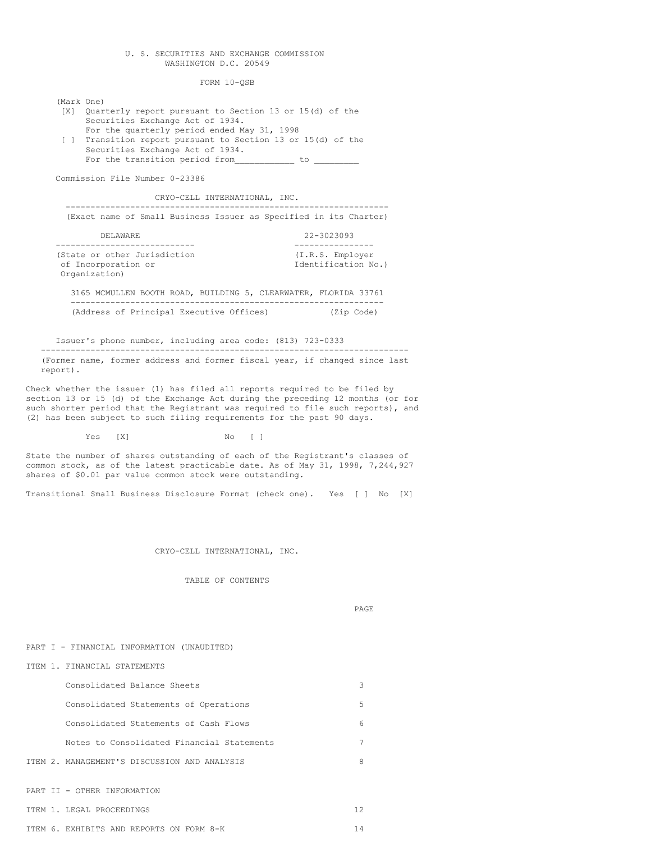# U. S. SECURITIES AND EXCHANGE COMMISSION WASHINGTON D.C. 20549

FORM 10-QSB

(Mark One)

[X] Quarterly report pursuant to Section 13 or 15(d) of the Securities Exchange Act of 1934. For the quarterly period ended May 31, 1998 [ ] Transition report pursuant to Section 13 or 15(d) of the Securities Exchange Act of 1934. For the transition period from with the contract of the contract of  $\sim$ Commission File Number 0-23386 CRYO-CELL INTERNATIONAL, INC. ----------------------------------------------------------------- (Exact name of Small Business Issuer as Specified in its Charter) DELAWARE 22-3023093 ---------------------------- ---------------- (State or other Jurisdiction  $(1.R.S.$  Employer<br>
of Incorporation or  $\qquad \qquad$  Identification No.) of Incorporation or Organization) 3165 MCMULLEN BOOTH ROAD, BUILDING 5, CLEARWATER, FLORIDA 33761 --------------------------------------------------------------- (Address of Principal Executive Offices) (Zip Code)

Issuer's phone number, including area code: (813) 723-0333 -------------------------------------------------------------------------- (Former name, former address and former fiscal year, if changed since last report).

Check whether the issuer (1) has filed all reports required to be filed by section 13 or 15 (d) of the Exchange Act during the preceding 12 months (or for such shorter period that the Registrant was required to file such reports), and (2) has been subject to such filing requirements for the past 90 days.

Yes [X] No [ ]

State the number of shares outstanding of each of the Registrant's classes of common stock, as of the latest practicable date. As of May 31, 1998, 7,244,927 shares of \$0.01 par value common stock were outstanding.

Transitional Small Business Disclosure Format (check one). Yes [ ] No [X]

CRYO-CELL INTERNATIONAL, INC.

TABLE OF CONTENTS

PAGE

PART I - FINANCIAL INFORMATION (UNAUDITED)

ITEM 1. FINANCIAL STATEMENTS

| 3 |
|---|
| 5 |
| 6 |
|   |
| 8 |
|   |
|   |

ITEM 1. LEGAL PROCEEDINGS 12

| EXHIBITS AND REPORTS ON FORM 8-K<br>ITEM 6. |  |
|---------------------------------------------|--|
|---------------------------------------------|--|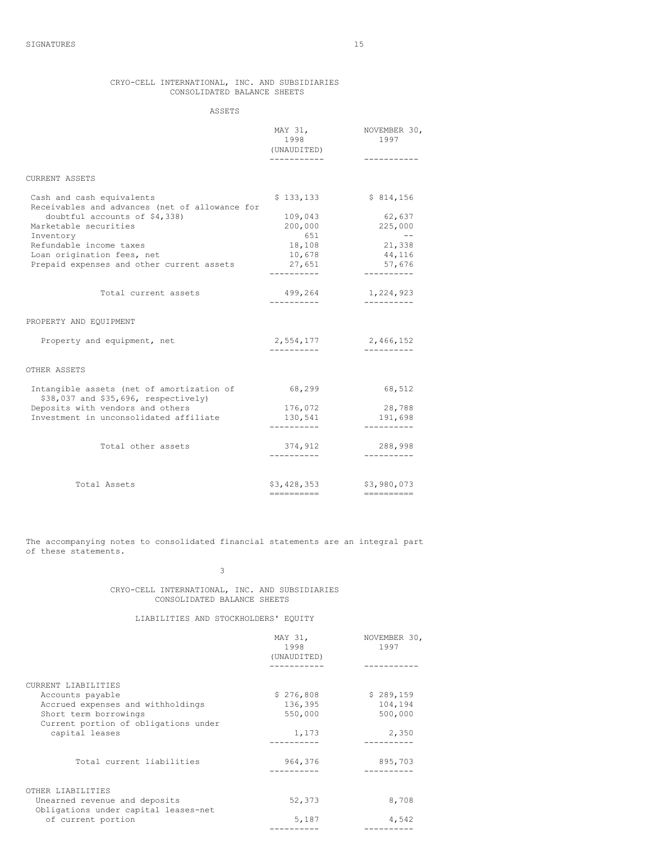# CRYO-CELL INTERNATIONAL, INC. AND SUBSIDIARIES CONSOLIDATED BALANCE SHEETS

ASSETS

|                                                                                   | MAY 31,<br>1998<br>(UNAUDITED)<br>----------- | NOVEMBER 30,<br>1997<br>----------- |
|-----------------------------------------------------------------------------------|-----------------------------------------------|-------------------------------------|
| CURRENT ASSETS                                                                    |                                               |                                     |
| Cash and cash equivalents<br>Receivables and advances (net of allowance for       | \$133,133                                     | \$814,156                           |
| doubtful accounts of \$4,338)<br>Marketable securities                            | 109,043<br>200,000                            | 62,637<br>225,000                   |
| Inventory<br>Refundable income taxes<br>Loan origination fees, net                | 651<br>18,108<br>10,678                       | $\qquad -$<br>21,338<br>44,116      |
| Prepaid expenses and other current assets                                         | 27,651<br>----------                          | 57,676<br>----------                |
| Total current assets                                                              | 499,264                                       | 1,224,923                           |
| PROPERTY AND EQUIPMENT                                                            |                                               |                                     |
| Property and equipment, net                                                       | 2,554,177<br>----------                       | 2,466,152<br>----------             |
| OTHER ASSETS                                                                      |                                               |                                     |
| Intangible assets (net of amortization of<br>\$38,037 and \$35,696, respectively) | 68,299                                        | 68,512                              |
| Deposits with vendors and others<br>Investment in unconsolidated affiliate        | 176,072<br>130,541<br>----------              | 28,788<br>191,698<br>----------     |
| Total other assets                                                                | 374,912                                       | 288,998                             |
| Total Assets                                                                      | \$3,428,353                                   | \$3,980,073                         |
|                                                                                   | ==========                                    | ==========                          |

The accompanying notes to consolidated financial statements are an integral part of these statements.

3

CRYO-CELL INTERNATIONAL, INC. AND SUBSIDIARIES CONSOLIDATED BALANCE SHEETS

# LIABILITIES AND STOCKHOLDERS' EQUITY

|                                                                       | MAY 31,<br>1998<br>(UNAUDITED) | NOVEMBER 30,<br>1997 |
|-----------------------------------------------------------------------|--------------------------------|----------------------|
|                                                                       |                                |                      |
| CURRENT LIABILITIES                                                   |                                |                      |
| Accounts payable                                                      | \$276,808                      | \$289,159            |
| Accrued expenses and withholdings                                     | 136,395                        | 104,194              |
| Short term borrowings                                                 | 550,000                        | 500,000              |
| Current portion of obligations under                                  |                                |                      |
| capital leases                                                        | 1,173                          | 2,350                |
|                                                                       |                                |                      |
| Total current liabilities                                             | 964,376                        | 895,703              |
|                                                                       |                                |                      |
| OTHER LIABILITIES                                                     |                                |                      |
| Unearned revenue and deposits<br>Obligations under capital leases-net | 52,373                         | 8,708                |
| of current portion                                                    | 5,187                          | 4,542                |
|                                                                       |                                |                      |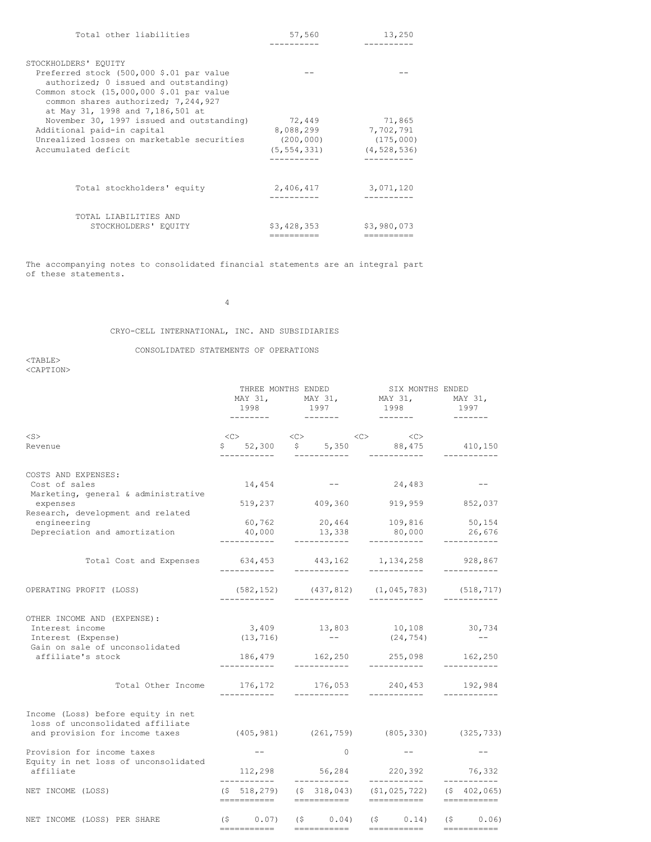| Total other liabilities                                                                                                                                                                                  | 57,560                                   | 13,250                                  |
|----------------------------------------------------------------------------------------------------------------------------------------------------------------------------------------------------------|------------------------------------------|-----------------------------------------|
|                                                                                                                                                                                                          |                                          |                                         |
| STOCKHOLDERS' EQUITY                                                                                                                                                                                     |                                          |                                         |
| Preferred stock (500,000 \$.01 par value<br>authorized; 0 issued and outstanding)<br>Common stock (15,000,000 \$.01 par value<br>common shares authorized; 7,244,927<br>at May 31, 1998 and 7,186,501 at |                                          |                                         |
| November 30, 1997 issued and outstanding)                                                                                                                                                                | 72,449                                   | 71,865                                  |
| Additional paid-in capital<br>Unrealized losses on marketable securities<br>Accumulated deficit                                                                                                          | 8,088,299<br>(200, 000)<br>(5, 554, 331) | 7,702,791<br>(175,000)<br>(4, 528, 536) |
|                                                                                                                                                                                                          |                                          |                                         |
| Total stockholders' equity                                                                                                                                                                               | 2,406,417                                | 3,071,120                               |
| TOTAL LIABILITIES AND                                                                                                                                                                                    |                                          |                                         |
| STOCKHOLDERS' EQUITY                                                                                                                                                                                     | \$3,428,353                              | \$3,980,073                             |
|                                                                                                                                                                                                          | ----------                               | ==========                              |

The accompanying notes to consolidated financial statements are an integral part of these statements.

4

CRYO-CELL INTERNATIONAL, INC. AND SUBSIDIARIES

CONSOLIDATED STATEMENTS OF OPERATIONS

<TABLE> <CAPTION>

|                                                                                                          |              | THREE MONTHS ENDED            |  | SIX MONTHS ENDED                                                      |                                 |                             |  |                         |  |  |
|----------------------------------------------------------------------------------------------------------|--------------|-------------------------------|--|-----------------------------------------------------------------------|---------------------------------|-----------------------------|--|-------------------------|--|--|
|                                                                                                          |              |                               |  |                                                                       | MAY 31, MAY 31, MAY 31, MAY 31, |                             |  |                         |  |  |
|                                                                                                          |              | 1998<br>---------             |  | 1997                                                                  |                                 | 1998                        |  | 1997                    |  |  |
| $<$ S $>$                                                                                                |              |                               |  | $\text{}\qquad \qquad \text{}\qquad \qquad \text{}\qquad \qquad$      |                                 | < <c></c>                   |  |                         |  |  |
| Revenue                                                                                                  |              | -----------                   |  | $$52,300 \t$ 5,350 \t88,475$<br>___________                           |                                 | ___________                 |  | 410,150<br>-----------  |  |  |
| COSTS AND EXPENSES:                                                                                      |              |                               |  |                                                                       |                                 |                             |  |                         |  |  |
| Cost of sales<br>Marketing, general & administrative                                                     |              | 14,454                        |  | and the company of the company of                                     |                                 | 24,483                      |  | $- -$                   |  |  |
| expenses<br>Research, development and related                                                            |              |                               |  | 519,237 409,360                                                       |                                 | 919,959 852,037             |  |                         |  |  |
| engineering                                                                                              |              |                               |  | $60,762$ $20,464$ $109,816$<br>$40,000$ $13,338$ $80,000$             |                                 |                             |  | 50, 154                 |  |  |
| Depreciation and amortization                                                                            | -----------  |                               |  | ___________                                                           |                                 | 80,000                      |  | 26,676                  |  |  |
| Total Cost and Expenses                                                                                  |              | 634,453<br>-------------      |  | 443,162 1,134,258<br>___________                                      |                                 | ___________                 |  | 928,867<br>-----------  |  |  |
| OPERATING PROFIT (LOSS)                                                                                  |              | ------------                  |  | $(582, 152)$ $(437, 812)$ $(1, 045, 783)$ $(518, 717)$<br>___________ |                                 | ___________                 |  | -----------             |  |  |
| OTHER INCOME AND (EXPENSE):<br>Interest income<br>Interest (Expense)<br>Gain on sale of unconsolidated   |              | (13, 716)                     |  | 3,409 13,803 10,108 30,734<br><b>Service Contracts</b>                |                                 | (24, 754)                   |  | $\sim$ $-$              |  |  |
| affiliate's stock                                                                                        | ------------ |                               |  | 186,479 162,250<br>___________                                        |                                 | 255,098<br>___________      |  | 162,250<br>------------ |  |  |
| Total Other Income                                                                                       |              | -----------                   |  | 176, 172 176, 053 240, 453 192, 984<br>------------                   |                                 | ___________                 |  | -----------             |  |  |
| Income (Loss) before equity in net<br>loss of unconsolidated affiliate<br>and provision for income taxes |              |                               |  | $(405, 981)$ $(261, 759)$ $(805, 330)$ $(325, 733)$                   |                                 |                             |  |                         |  |  |
| Provision for income taxes<br>Equity in net loss of unconsolidated                                       |              |                               |  | $\bigcirc$                                                            |                                 |                             |  | $- -$                   |  |  |
| affiliate                                                                                                |              | ___________                   |  | 112,298 56,284 220,392 76,332<br>------------                         |                                 | -----------                 |  | -----------             |  |  |
| NET INCOME (LOSS)                                                                                        |              | $($ \$518,279)<br>=========== |  | $(5, 318, 043)$ $(51, 025, 722)$ $(5, 402, 065)$<br>===========       |                                 | ===========                 |  | ===========             |  |  |
| NET INCOME (LOSS) PER SHARE                                                                              |              | $(S \t 0.07)$                 |  | $(5 \t 0.04)$                                                         |                                 | $(5 \t 0.14)$ $(5 \t 0.06)$ |  |                         |  |  |
|                                                                                                          | ===========  |                               |  | ===========                                                           |                                 | ===========                 |  | ===========             |  |  |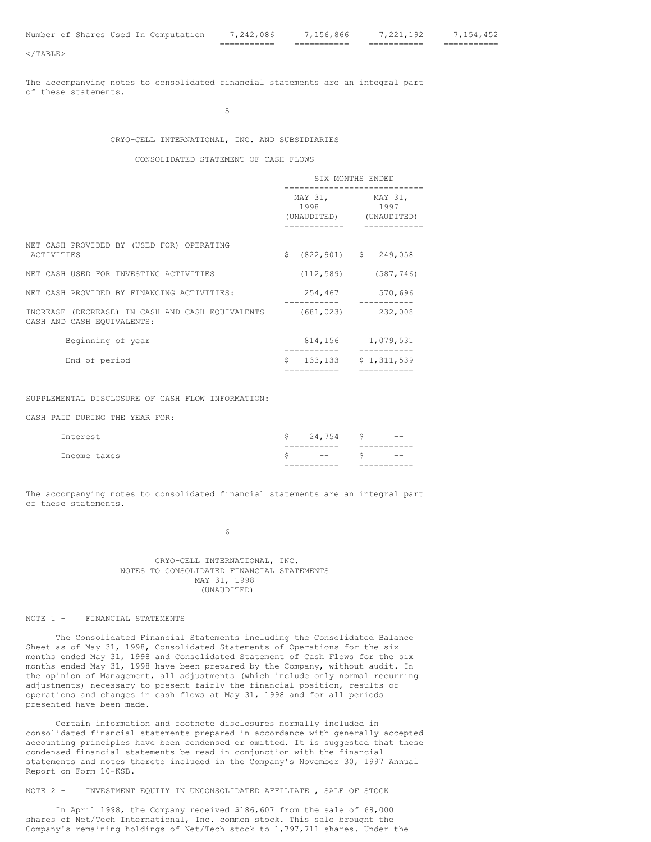=========== =========== =========== ===========

The accompanying notes to consolidated financial statements are an integral part of these statements.

5

## CRYO-CELL INTERNATIONAL, INC. AND SUBSIDIARIES

#### CONSOLIDATED STATEMENT OF CASH FLOWS

|                                                                                                  | SIX MONTHS ENDED |                                                         |  |                     |
|--------------------------------------------------------------------------------------------------|------------------|---------------------------------------------------------|--|---------------------|
|                                                                                                  |                  | MAY 31, MAY 31,<br>1998 1997<br>(UNAUDITED) (UNAUDITED) |  |                     |
| NET CASH PROVIDED BY (USED FOR) OPERATING<br>ACTIVITIES                                          | S.               | $(822, 901)$ \$ 249,058                                 |  |                     |
| NET CASH USED FOR INVESTING ACTIVITIES                                                           |                  | $(112, 589)$ $(587, 746)$                               |  |                     |
| NET CASH PROVIDED BY FINANCING ACTIVITIES:                                                       |                  | 254,467                                                 |  | 570,696<br>________ |
| INCREASE (DECREASE) IN CASH AND CASH EOUIVALENTS (681,023) 232,008<br>CASH AND CASH EQUIVALENTS: |                  |                                                         |  |                     |
| Beginning of year                                                                                |                  | 814, 156 1, 079, 531                                    |  |                     |
| End of period                                                                                    |                  | $$133,133$ $$1,311,539$<br>===========                  |  |                     |
|                                                                                                  |                  |                                                         |  | ==========          |

SUPPLEMENTAL DISCLOSURE OF CASH FLOW INFORMATION:

CASH PAID DURING THE YEAR FOR:

| Interest     | $$24,754$ \$ -- |  |
|--------------|-----------------|--|
|              |                 |  |
| Income taxes | $  S$ $-$       |  |
|              |                 |  |

The accompanying notes to consolidated financial statements are an integral part of these statements.

6

CRYO-CELL INTERNATIONAL, INC. NOTES TO CONSOLIDATED FINANCIAL STATEMENTS MAY 31, 1998 (UNAUDITED)

### NOTE 1 - FINANCIAL STATEMENTS

The Consolidated Financial Statements including the Consolidated Balance Sheet as of May 31, 1998, Consolidated Statements of Operations for the six months ended May 31, 1998 and Consolidated Statement of Cash Flows for the six months ended May 31, 1998 have been prepared by the Company, without audit. In the opinion of Management, all adjustments (which include only normal recurring adjustments) necessary to present fairly the financial position, results of operations and changes in cash flows at May 31, 1998 and for all periods presented have been made.

Certain information and footnote disclosures normally included in consolidated financial statements prepared in accordance with generally accepted accounting principles have been condensed or omitted. It is suggested that these condensed financial statements be read in conjunction with the financial statements and notes thereto included in the Company's November 30, 1997 Annual Report on Form 10-KSB.

NOTE 2 - INVESTMENT EQUITY IN UNCONSOLIDATED AFFILIATE , SALE OF STOCK

In April 1998, the Company received \$186,607 from the sale of 68,000 shares of Net/Tech International, Inc. common stock. This sale brought the Company's remaining holdings of Net/Tech stock to 1,797,711 shares. Under the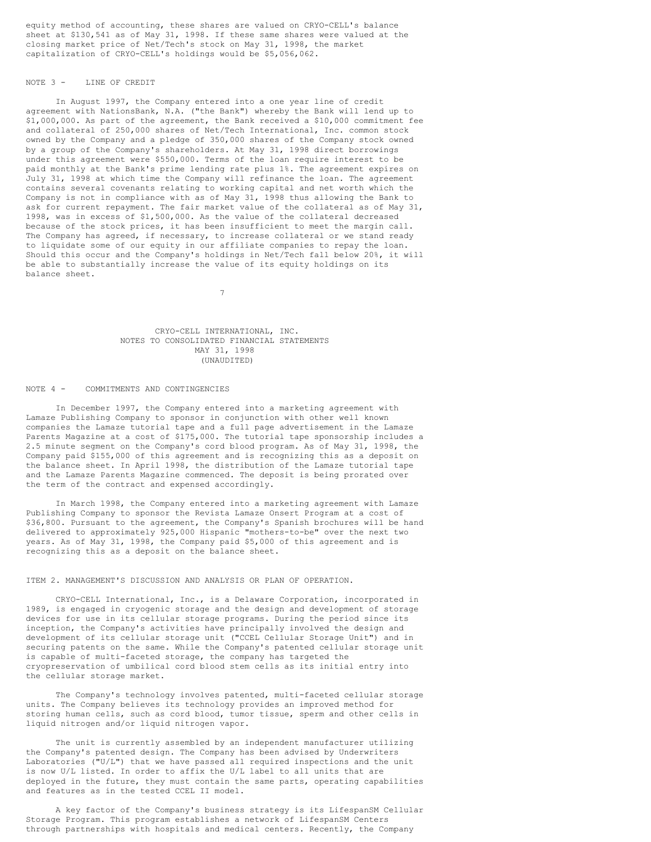equity method of accounting, these shares are valued on CRYO-CELL's balance sheet at \$130,541 as of May 31, 1998. If these same shares were valued at the closing market price of Net/Tech's stock on May 31, 1998, the market capitalization of CRYO-CELL's holdings would be \$5,056,062.

# NOTE 3 - LINE OF CREDIT

In August 1997, the Company entered into a one year line of credit agreement with NationsBank, N.A. ("the Bank") whereby the Bank will lend up to \$1,000,000. As part of the agreement, the Bank received a \$10,000 commitment fee and collateral of 250,000 shares of Net/Tech International, Inc. common stock owned by the Company and a pledge of 350,000 shares of the Company stock owned by a group of the Company's shareholders. At May 31, 1998 direct borrowings under this agreement were \$550,000. Terms of the loan require interest to be paid monthly at the Bank's prime lending rate plus 1%. The agreement expires on July 31, 1998 at which time the Company will refinance the loan. The agreement contains several covenants relating to working capital and net worth which the Company is not in compliance with as of May 31, 1998 thus allowing the Bank to ask for current repayment. The fair market value of the collateral as of May 31, 1998, was in excess of \$1,500,000. As the value of the collateral decreased because of the stock prices, it has been insufficient to meet the margin call. The Company has agreed, if necessary, to increase collateral or we stand ready to liquidate some of our equity in our affiliate companies to repay the loan. Should this occur and the Company's holdings in Net/Tech fall below 20%, it will be able to substantially increase the value of its equity holdings on its balance sheet.

7

## CRYO-CELL INTERNATIONAL, INC. NOTES TO CONSOLIDATED FINANCIAL STATEMENTS MAY 31, 1998 (UNAUDITED)

#### NOTE 4 - COMMITMENTS AND CONTINGENCIES

In December 1997, the Company entered into a marketing agreement with Lamaze Publishing Company to sponsor in conjunction with other well known companies the Lamaze tutorial tape and a full page advertisement in the Lamaze Parents Magazine at a cost of \$175,000. The tutorial tape sponsorship includes a 2.5 minute segment on the Company's cord blood program. As of May 31, 1998, the Company paid \$155,000 of this agreement and is recognizing this as a deposit on the balance sheet. In April 1998, the distribution of the Lamaze tutorial tape and the Lamaze Parents Magazine commenced. The deposit is being prorated over the term of the contract and expensed accordingly.

In March 1998, the Company entered into a marketing agreement with Lamaze Publishing Company to sponsor the Revista Lamaze Onsert Program at a cost of \$36,800. Pursuant to the agreement, the Company's Spanish brochures will be hand delivered to approximately 925,000 Hispanic "mothers-to-be" over the next two years. As of May 31, 1998, the Company paid \$5,000 of this agreement and is recognizing this as a deposit on the balance sheet.

#### ITEM 2. MANAGEMENT'S DISCUSSION AND ANALYSIS OR PLAN OF OPERATION.

CRYO-CELL International, Inc., is a Delaware Corporation, incorporated in 1989, is engaged in cryogenic storage and the design and development of storage devices for use in its cellular storage programs. During the period since its inception, the Company's activities have principally involved the design and development of its cellular storage unit ("CCEL Cellular Storage Unit") and in securing patents on the same. While the Company's patented cellular storage unit is capable of multi-faceted storage, the company has targeted the cryopreservation of umbilical cord blood stem cells as its initial entry into the cellular storage market.

The Company's technology involves patented, multi-faceted cellular storage units. The Company believes its technology provides an improved method for storing human cells, such as cord blood, tumor tissue, sperm and other cells in liquid nitrogen and/or liquid nitrogen vapor.

The unit is currently assembled by an independent manufacturer utilizing the Company's patented design. The Company has been advised by Underwriters Laboratories ("U/L") that we have passed all required inspections and the unit is now U/L listed. In order to affix the U/L label to all units that are deployed in the future, they must contain the same parts, operating capabilities and features as in the tested CCEL II model.

A key factor of the Company's business strategy is its LifespanSM Cellular Storage Program. This program establishes a network of LifespanSM Centers through partnerships with hospitals and medical centers. Recently, the Company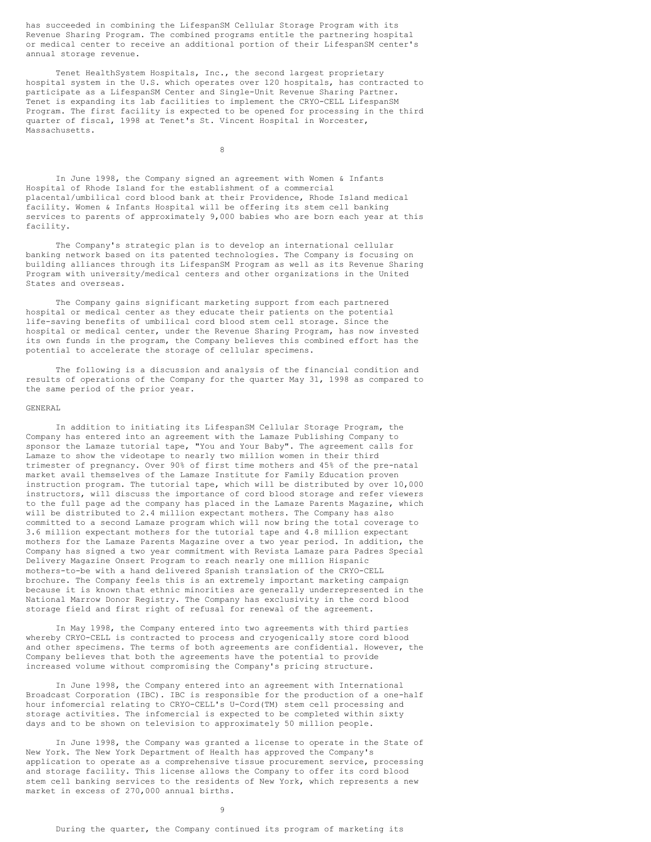has succeeded in combining the LifespanSM Cellular Storage Program with its Revenue Sharing Program. The combined programs entitle the partnering hospital or medical center to receive an additional portion of their LifespanSM center's annual storage revenue.

Tenet HealthSystem Hospitals, Inc., the second largest proprietary hospital system in the U.S. which operates over 120 hospitals, has contracted to participate as a LifespanSM Center and Single-Unit Revenue Sharing Partner. Tenet is expanding its lab facilities to implement the CRYO-CELL LifespanSM Program. The first facility is expected to be opened for processing in the third quarter of fiscal, 1998 at Tenet's St. Vincent Hospital in Worcester, Massachusetts.

8

In June 1998, the Company signed an agreement with Women & Infants Hospital of Rhode Island for the establishment of a commercial placental/umbilical cord blood bank at their Providence, Rhode Island medical facility. Women & Infants Hospital will be offering its stem cell banking services to parents of approximately 9,000 babies who are born each year at this facility.

The Company's strategic plan is to develop an international cellular banking network based on its patented technologies. The Company is focusing on building alliances through its LifespanSM Program as well as its Revenue Sharing Program with university/medical centers and other organizations in the United States and overseas.

The Company gains significant marketing support from each partnered hospital or medical center as they educate their patients on the potential life-saving benefits of umbilical cord blood stem cell storage. Since the hospital or medical center, under the Revenue Sharing Program, has now invested its own funds in the program, the Company believes this combined effort has the potential to accelerate the storage of cellular specimens.

The following is a discussion and analysis of the financial condition and results of operations of the Company for the quarter May 31, 1998 as compared to the same period of the prior year.

### GENERAL

In addition to initiating its LifespanSM Cellular Storage Program, the Company has entered into an agreement with the Lamaze Publishing Company to sponsor the Lamaze tutorial tape, "You and Your Baby". The agreement calls for Lamaze to show the videotape to nearly two million women in their third trimester of pregnancy. Over 90% of first time mothers and 45% of the pre-natal market avail themselves of the Lamaze Institute for Family Education proven instruction program. The tutorial tape, which will be distributed by over 10,000 instructors, will discuss the importance of cord blood storage and refer viewers to the full page ad the company has placed in the Lamaze Parents Magazine, which will be distributed to 2.4 million expectant mothers. The Company has also committed to a second Lamaze program which will now bring the total coverage to 3.6 million expectant mothers for the tutorial tape and 4.8 million expectant mothers for the Lamaze Parents Magazine over a two year period. In addition, the Company has signed a two year commitment with Revista Lamaze para Padres Special Delivery Magazine Onsert Program to reach nearly one million Hispanic mothers-to-be with a hand delivered Spanish translation of the CRYO-CELL brochure. The Company feels this is an extremely important marketing campaign because it is known that ethnic minorities are generally underrepresented in the National Marrow Donor Registry. The Company has exclusivity in the cord blood storage field and first right of refusal for renewal of the agreement.

In May 1998, the Company entered into two agreements with third parties whereby CRYO-CELL is contracted to process and cryogenically store cord blood and other specimens. The terms of both agreements are confidential. However, the Company believes that both the agreements have the potential to provide increased volume without compromising the Company's pricing structure.

In June 1998, the Company entered into an agreement with International Broadcast Corporation (IBC). IBC is responsible for the production of a one-half hour infomercial relating to CRYO-CELL's U-Cord(TM) stem cell processing and storage activities. The infomercial is expected to be completed within sixty days and to be shown on television to approximately 50 million people.

In June 1998, the Company was granted a license to operate in the State of New York. The New York Department of Health has approved the Company's application to operate as a comprehensive tissue procurement service, processing and storage facility. This license allows the Company to offer its cord blood stem cell banking services to the residents of New York, which represents a new market in excess of 270,000 annual births.

9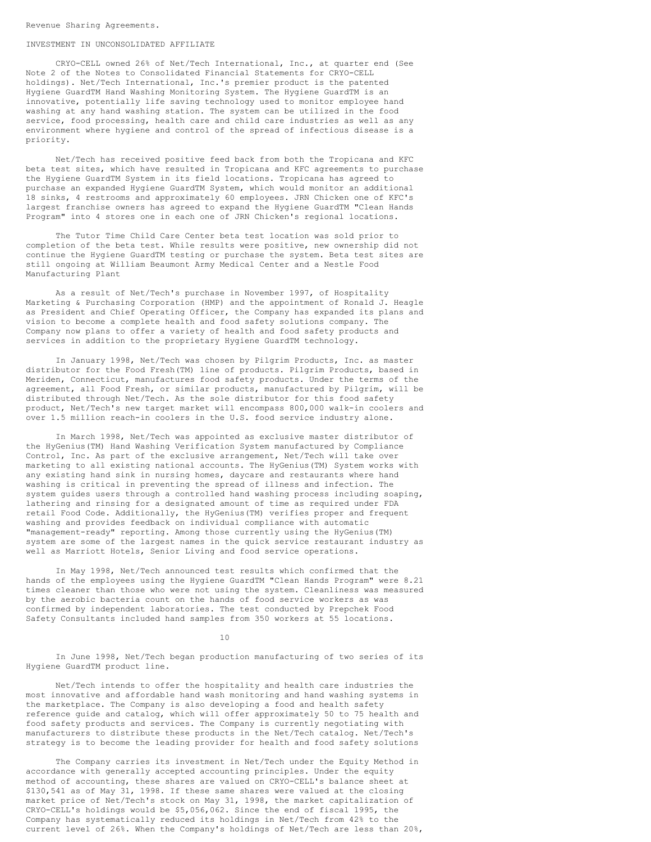#### INVESTMENT IN UNCONSOLIDATED AFFILIATE

CRYO-CELL owned 26% of Net/Tech International, Inc., at quarter end (See Note 2 of the Notes to Consolidated Financial Statements for CRYO-CELL holdings). Net/Tech International, Inc.'s premier product is the patented Hygiene GuardTM Hand Washing Monitoring System. The Hygiene GuardTM is an innovative, potentially life saving technology used to monitor employee hand washing at any hand washing station. The system can be utilized in the food service, food processing, health care and child care industries as well as any environment where hygiene and control of the spread of infectious disease is a priority.

Net/Tech has received positive feed back from both the Tropicana and KFC beta test sites, which have resulted in Tropicana and KFC agreements to purchase the Hygiene GuardTM System in its field locations. Tropicana has agreed to purchase an expanded Hygiene GuardTM System, which would monitor an additional 18 sinks, 4 restrooms and approximately 60 employees. JRN Chicken one of KFC's largest franchise owners has agreed to expand the Hygiene GuardTM "Clean Hands Program" into 4 stores one in each one of JRN Chicken's regional locations.

The Tutor Time Child Care Center beta test location was sold prior to completion of the beta test. While results were positive, new ownership did not continue the Hygiene GuardTM testing or purchase the system. Beta test sites are still ongoing at William Beaumont Army Medical Center and a Nestle Food Manufacturing Plant

As a result of Net/Tech's purchase in November 1997, of Hospitality Marketing & Purchasing Corporation (HMP) and the appointment of Ronald J. Heagle as President and Chief Operating Officer, the Company has expanded its plans and vision to become a complete health and food safety solutions company. The Company now plans to offer a variety of health and food safety products and services in addition to the proprietary Hygiene GuardTM technology.

In January 1998, Net/Tech was chosen by Pilgrim Products, Inc. as master distributor for the Food Fresh(TM) line of products. Pilgrim Products, based in Meriden, Connecticut, manufactures food safety products. Under the terms of the agreement, all Food Fresh, or similar products, manufactured by Pilgrim, will be distributed through Net/Tech. As the sole distributor for this food safety product, Net/Tech's new target market will encompass 800,000 walk-in coolers and over 1.5 million reach-in coolers in the U.S. food service industry alone.

In March 1998, Net/Tech was appointed as exclusive master distributor of the HyGenius(TM) Hand Washing Verification System manufactured by Compliance Control, Inc. As part of the exclusive arrangement, Net/Tech will take over marketing to all existing national accounts. The HyGenius(TM) System works with any existing hand sink in nursing homes, daycare and restaurants where hand washing is critical in preventing the spread of illness and infection. The system guides users through a controlled hand washing process including soaping, lathering and rinsing for a designated amount of time as required under FDA retail Food Code. Additionally, the HyGenius(TM) verifies proper and frequent washing and provides feedback on individual compliance with automatic "management-ready" reporting. Among those currently using the HyGenius(TM) system are some of the largest names in the quick service restaurant industry as well as Marriott Hotels, Senior Living and food service operations.

In May 1998, Net/Tech announced test results which confirmed that the hands of the employees using the Hygiene GuardTM "Clean Hands Program" were 8.21 times cleaner than those who were not using the system. Cleanliness was measured by the aerobic bacteria count on the hands of food service workers as was confirmed by independent laboratories. The test conducted by Prepchek Food Safety Consultants included hand samples from 350 workers at 55 locations.

10

In June 1998, Net/Tech began production manufacturing of two series of its Hygiene GuardTM product line.

Net/Tech intends to offer the hospitality and health care industries the most innovative and affordable hand wash monitoring and hand washing systems in the marketplace. The Company is also developing a food and health safety reference guide and catalog, which will offer approximately 50 to 75 health and food safety products and services. The Company is currently negotiating with manufacturers to distribute these products in the Net/Tech catalog. Net/Tech's strategy is to become the leading provider for health and food safety solutions

The Company carries its investment in Net/Tech under the Equity Method in accordance with generally accepted accounting principles. Under the equity method of accounting, these shares are valued on CRYO-CELL's balance sheet at \$130,541 as of May 31, 1998. If these same shares were valued at the closing market price of Net/Tech's stock on May 31, 1998, the market capitalization of CRYO-CELL's holdings would be \$5,056,062. Since the end of fiscal 1995, the Company has systematically reduced its holdings in Net/Tech from 42% to the current level of 26%. When the Company's holdings of Net/Tech are less than 20%,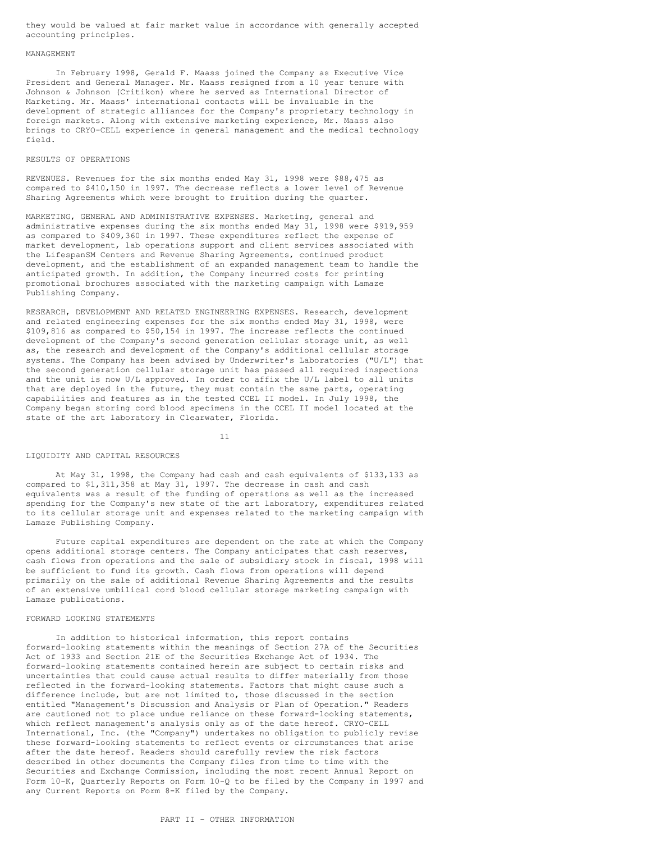they would be valued at fair market value in accordance with generally accepted accounting principles.

#### MANAGEMENT

In February 1998, Gerald F. Maass joined the Company as Executive Vice President and General Manager. Mr. Maass resigned from a 10 year tenure with Johnson & Johnson (Critikon) where he served as International Director of Marketing. Mr. Maass' international contacts will be invaluable in the development of strategic alliances for the Company's proprietary technology in foreign markets. Along with extensive marketing experience, Mr. Maass also brings to CRYO-CELL experience in general management and the medical technology field.

#### RESULTS OF OPERATIONS

REVENUES. Revenues for the six months ended May 31, 1998 were \$88,475 as compared to \$410,150 in 1997. The decrease reflects a lower level of Revenue Sharing Agreements which were brought to fruition during the quarter.

MARKETING, GENERAL AND ADMINISTRATIVE EXPENSES. Marketing, general and administrative expenses during the six months ended May 31, 1998 were \$919,959 as compared to \$409,360 in 1997. These expenditures reflect the expense of market development, lab operations support and client services associated with the LifespanSM Centers and Revenue Sharing Agreements, continued product development, and the establishment of an expanded management team to handle the anticipated growth. In addition, the Company incurred costs for printing promotional brochures associated with the marketing campaign with Lamaze Publishing Company.

RESEARCH, DEVELOPMENT AND RELATED ENGINEERING EXPENSES. Research, development and related engineering expenses for the six months ended May 31, 1998, were \$109,816 as compared to \$50,154 in 1997. The increase reflects the continued development of the Company's second generation cellular storage unit, as well as, the research and development of the Company's additional cellular storage systems. The Company has been advised by Underwriter's Laboratories ("U/L") that the second generation cellular storage unit has passed all required inspections and the unit is now U/L approved. In order to affix the U/L label to all units that are deployed in the future, they must contain the same parts, operating capabilities and features as in the tested CCEL II model. In July 1998, the Company began storing cord blood specimens in the CCEL II model located at the state of the art laboratory in Clearwater, Florida.

11

#### LIQUIDITY AND CAPITAL RESOURCES

At May 31, 1998, the Company had cash and cash equivalents of \$133,133 as compared to \$1,311,358 at May 31, 1997. The decrease in cash and cash equivalents was a result of the funding of operations as well as the increased spending for the Company's new state of the art laboratory, expenditures related to its cellular storage unit and expenses related to the marketing campaign with Lamaze Publishing Company.

Future capital expenditures are dependent on the rate at which the Company opens additional storage centers. The Company anticipates that cash reserves, cash flows from operations and the sale of subsidiary stock in fiscal, 1998 will be sufficient to fund its growth. Cash flows from operations will depend primarily on the sale of additional Revenue Sharing Agreements and the results of an extensive umbilical cord blood cellular storage marketing campaign with Lamaze publications.

### FORWARD LOOKING STATEMENTS

In addition to historical information, this report contains forward-looking statements within the meanings of Section 27A of the Securities Act of 1933 and Section 21E of the Securities Exchange Act of 1934. The forward-looking statements contained herein are subject to certain risks and uncertainties that could cause actual results to differ materially from those reflected in the forward-looking statements. Factors that might cause such a difference include, but are not limited to, those discussed in the section entitled "Management's Discussion and Analysis or Plan of Operation." Readers are cautioned not to place undue reliance on these forward-looking statements, which reflect management's analysis only as of the date hereof. CRYO-CELL International, Inc. (the "Company") undertakes no obligation to publicly revise these forward-looking statements to reflect events or circumstances that arise after the date hereof. Readers should carefully review the risk factors described in other documents the Company files from time to time with the Securities and Exchange Commission, including the most recent Annual Report on Form 10-K, Quarterly Reports on Form 10-Q to be filed by the Company in 1997 and any Current Reports on Form 8-K filed by the Company.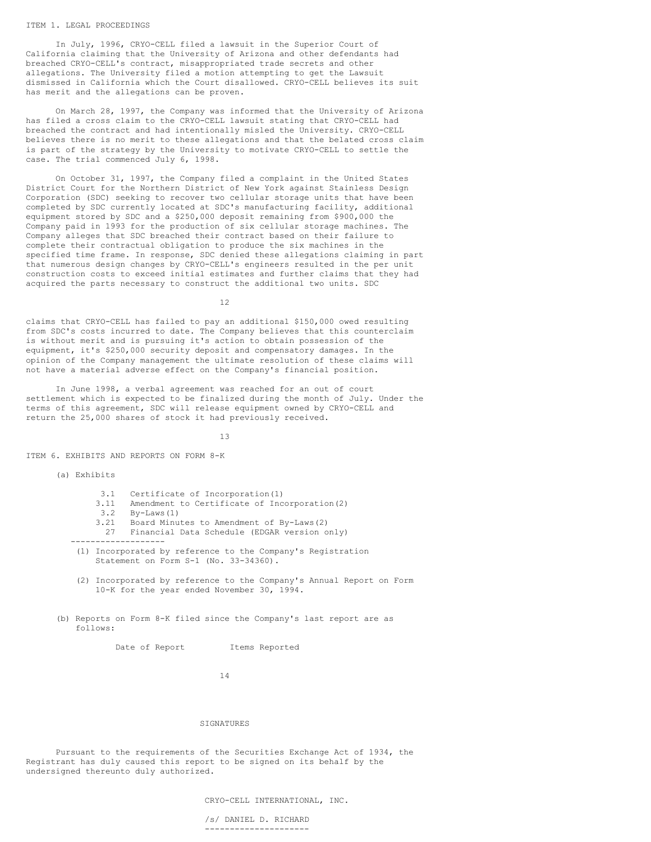#### ITEM 1. LEGAL PROCEEDINGS

In July, 1996, CRYO-CELL filed a lawsuit in the Superior Court of California claiming that the University of Arizona and other defendants had breached CRYO-CELL's contract, misappropriated trade secrets and other allegations. The University filed a motion attempting to get the Lawsuit dismissed in California which the Court disallowed. CRYO-CELL believes its suit has merit and the allegations can be proven.

On March 28, 1997, the Company was informed that the University of Arizona has filed a cross claim to the CRYO-CELL lawsuit stating that CRYO-CELL had breached the contract and had intentionally misled the University. CRYO-CELL believes there is no merit to these allegations and that the belated cross claim is part of the strategy by the University to motivate CRYO-CELL to settle the case. The trial commenced July 6, 1998.

On October 31, 1997, the Company filed a complaint in the United States District Court for the Northern District of New York against Stainless Design Corporation (SDC) seeking to recover two cellular storage units that have been completed by SDC currently located at SDC's manufacturing facility, additional equipment stored by SDC and a \$250,000 deposit remaining from \$900,000 the Company paid in 1993 for the production of six cellular storage machines. The Company alleges that SDC breached their contract based on their failure to complete their contractual obligation to produce the six machines in the specified time frame. In response, SDC denied these allegations claiming in part that numerous design changes by CRYO-CELL's engineers resulted in the per unit construction costs to exceed initial estimates and further claims that they had acquired the parts necessary to construct the additional two units. SDC

12

claims that CRYO-CELL has failed to pay an additional \$150,000 owed resulting from SDC's costs incurred to date. The Company believes that this counterclaim is without merit and is pursuing it's action to obtain possession of the equipment, it's \$250,000 security deposit and compensatory damages. In the opinion of the Company management the ultimate resolution of these claims will not have a material adverse effect on the Company's financial position.

In June 1998, a verbal agreement was reached for an out of court settlement which is expected to be finalized during the month of July. Under the terms of this agreement, SDC will release equipment owned by CRYO-CELL and return the 25,000 shares of stock it had previously received.

13

ITEM 6. EXHIBITS AND REPORTS ON FORM 8-K

(a) Exhibits

- 3.1 Certificate of Incorporation(1)
- 3.11 Amendment to Certificate of Incorporation(2)
- 
- 3.2 By-Laws(1) 3.21 Board Minutes to Amendment of By-Laws(2)
- 27 Financial Data Schedule (EDGAR version only)
- -------------------
- (1) Incorporated by reference to the Company's Registration Statement on Form S-1 (No. 33-34360).
- (2) Incorporated by reference to the Company's Annual Report on Form 10-K for the year ended November 30, 1994.
- (b) Reports on Form 8-K filed since the Company's last report are as follows:

Date of Report Items Reported

14

# SIGNATURES

Pursuant to the requirements of the Securities Exchange Act of 1934, the Registrant has duly caused this report to be signed on its behalf by the undersigned thereunto duly authorized.

CRYO-CELL INTERNATIONAL, INC.

/s/ DANIEL D. RICHARD ---------------------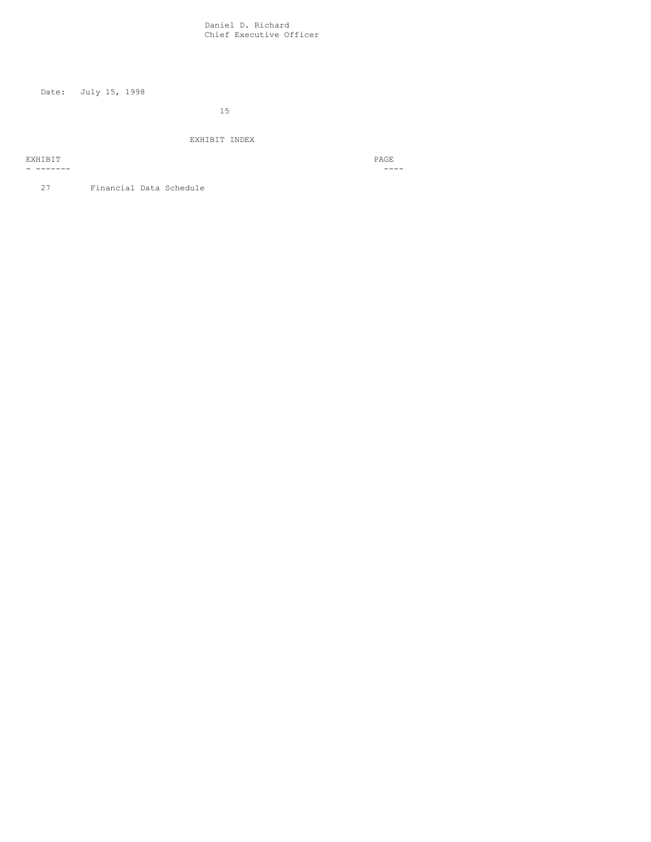Daniel D. Richard Chief Executive Officer

Date: July 15, 1998

15

EXHIBIT INDEX

EXHIBIT PAGE PRODUCED A CONSTRUCTION OF A CONSTRUCTION OF A CONSTRUCTION OF A CONSTRUCTION OF A CONSTRUCTION OF A CONSTRUCTION OF A CONSTRUCTION OF A CONSTRUCTION OF A CONSTRUCTION OF A CONSTRUCTION OF A CONSTRUCTION OF A

- ------- ----

27 Financial Data Schedule